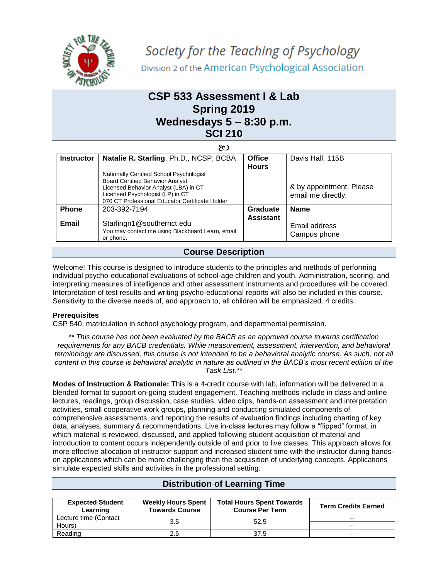

## **CSP 533 Assessment I & Lab Spring 2019 Wednesdays 5 – 8:30 p.m. SCI 210**

|                   | 80                                                                                                                                                                                                                  |                               |                                                |
|-------------------|---------------------------------------------------------------------------------------------------------------------------------------------------------------------------------------------------------------------|-------------------------------|------------------------------------------------|
| <b>Instructor</b> | Natalie R. Starling, Ph.D., NCSP, BCBA                                                                                                                                                                              | <b>Office</b><br><b>Hours</b> | Davis Hall, 115B                               |
|                   | Nationally Certified School Psychologist<br><b>Board Certified Behavior Analyst</b><br>Licensed Behavior Analyst (LBA) in CT<br>Licensed Psychologist (LP) in CT<br>070 CT Professional Educator Certificate Holder |                               | & by appointment. Please<br>email me directly. |
| <b>Phone</b>      | 203-392-7194                                                                                                                                                                                                        | Graduate<br><b>Assistant</b>  | <b>Name</b>                                    |
| Email             | Starlingn1@southernct.edu<br>You may contact me using Blackboard Learn, email<br>or phone.                                                                                                                          |                               | Email address<br>Campus phone                  |

## **Course Description**

Welcome! This course is designed to introduce students to the principles and methods of performing individual psycho-educational evaluations of school-age children and youth. Administration, scoring, and interpreting measures of intelligence and other assessment instruments and procedures will be covered. Interpretation of test results and writing psycho-educational reports will also be included in this course. Sensitivity to the diverse needs of, and approach to, all children will be emphasized. 4 credits.

#### **Prerequisites**

CSP 540, matriculation in school psychology program, and departmental permission.

*\*\* This course has not been evaluated by the BACB as an approved course towards certification requirements for any BACB credentials. While measurement, assessment, intervention, and behavioral terminology are discussed, this course is not intended to be a behavioral analytic course. As such, not all content in this course is behavioral analytic in nature as outlined in the BACB's most recent edition of the Task List.\*\**

**Modes of Instruction & Rationale:** This is a 4-credit course with lab, information will be delivered in a blended format to support on-going student engagement. Teaching methods include in class and online lectures, readings, group discussion, case studies, video clips, hands-on assessment and interpretation activities, small cooperative work groups, planning and conducting simulated components of comprehensive assessments, and reporting the results of evaluation findings including charting of key data, analyses, summary & recommendations. Live in-class lectures may follow a "flipped" format, in which material is reviewed, discussed, and applied following student acquisition of material and introduction to content occurs independently outside of and prior to live classes. This approach allows for more effective allocation of instructor support and increased student time with the instructor during handson applications which can be more challenging than the acquisition of underlying concepts. Applications simulate expected skills and activities in the professional setting.

| <b>Expected Student</b><br>Learning | <b>Weekly Hours Spent</b><br><b>Towards Course</b> | <b>Total Hours Spent Towards</b><br><b>Course Per Term</b> | <b>Term Credits Earned</b> |
|-------------------------------------|----------------------------------------------------|------------------------------------------------------------|----------------------------|
| Lecture time (Contact               | 3.5                                                |                                                            | --                         |
| Hours)                              |                                                    | 52.5                                                       | --                         |
| Reading                             | 2.5                                                | 37.5                                                       | --                         |

## **Distribution of Learning Time**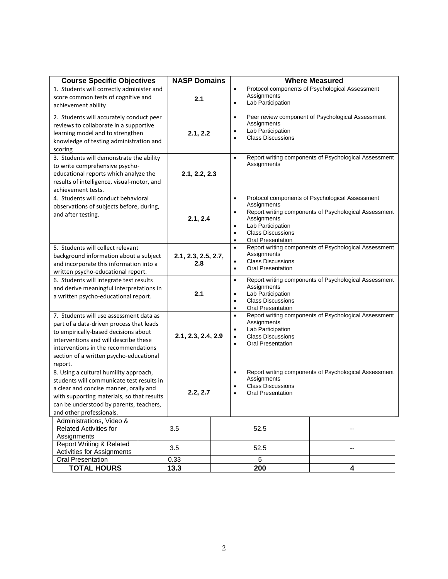| <b>Course Specific Objectives</b>                                                                                                                                                                                                                                  | <b>NASP Domains</b> | <b>Where Measured</b>      |      |                                                                                                                                                                                                                                                                              |                                  |                                                       |
|--------------------------------------------------------------------------------------------------------------------------------------------------------------------------------------------------------------------------------------------------------------------|---------------------|----------------------------|------|------------------------------------------------------------------------------------------------------------------------------------------------------------------------------------------------------------------------------------------------------------------------------|----------------------------------|-------------------------------------------------------|
| 1. Students will correctly administer and<br>score common tests of cognitive and<br>achievement ability                                                                                                                                                            |                     | 2.1                        |      | $\bullet$<br>$\bullet$                                                                                                                                                                                                                                                       | Assignments<br>Lab Participation | Protocol components of Psychological Assessment       |
| 2. Students will accurately conduct peer<br>reviews to collaborate in a supportive<br>learning model and to strengthen<br>knowledge of testing administration and<br>scoring                                                                                       |                     | 2.1, 2.2                   |      | Peer review component of Psychological Assessment<br>$\bullet$<br>Assignments<br>Lab Participation<br>$\bullet$<br><b>Class Discussions</b><br>$\bullet$                                                                                                                     |                                  |                                                       |
| 3. Students will demonstrate the ability<br>to write comprehensive psycho-<br>educational reports which analyze the<br>results of intelligence, visual-motor, and<br>achievement tests.                                                                            |                     | 2.1, 2.2, 2.3              |      | $\bullet$                                                                                                                                                                                                                                                                    | Assignments                      | Report writing components of Psychological Assessment |
| 4. Students will conduct behavioral<br>observations of subjects before, during,<br>and after testing.                                                                                                                                                              |                     | 2.1, 2.4                   |      | Protocol components of Psychological Assessment<br>$\bullet$<br>Assignments<br>Report writing components of Psychological Assessment<br>٠<br>Assignments<br>Lab Participation<br>$\bullet$<br><b>Class Discussions</b><br>$\bullet$<br><b>Oral Presentation</b><br>$\bullet$ |                                  |                                                       |
| 5. Students will collect relevant<br>background information about a subject<br>and incorporate this information into a<br>written psycho-educational report.                                                                                                       |                     | 2.1, 2.3, 2.5, 2.7,<br>2.8 |      | Report writing components of Psychological Assessment<br>$\bullet$<br>Assignments<br><b>Class Discussions</b><br>٠<br><b>Oral Presentation</b><br>$\bullet$                                                                                                                  |                                  |                                                       |
| 6. Students will integrate test results<br>and derive meaningful interpretations in<br>a written psycho-educational report.                                                                                                                                        |                     | 2.1                        |      | Report writing components of Psychological Assessment<br>$\bullet$<br>Assignments<br>Lab Participation<br>$\bullet$<br><b>Class Discussions</b><br>$\bullet$<br>Oral Presentation<br>٠                                                                                       |                                  |                                                       |
| 7. Students will use assessment data as<br>part of a data-driven process that leads<br>to empirically-based decisions about<br>interventions and will describe these<br>interventions in the recommendations<br>section of a written psycho-educational<br>report. |                     | 2.1, 2.3, 2.4, 2.9         |      | Report writing components of Psychological Assessment<br>$\bullet$<br>Assignments<br>Lab Participation<br><b>Class Discussions</b><br>$\bullet$<br><b>Oral Presentation</b><br>$\bullet$                                                                                     |                                  |                                                       |
| 8. Using a cultural humility approach,<br>students will communicate test results in<br>a clear and concise manner, orally and<br>with supporting materials, so that results<br>can be understood by parents, teachers,<br>and other professionals.                 |                     | 2.2, 2.7                   |      | Report writing components of Psychological Assessment<br>$\bullet$<br>Assignments<br><b>Class Discussions</b><br>٠<br><b>Oral Presentation</b><br>$\bullet$                                                                                                                  |                                  |                                                       |
| Administrations, Video &<br><b>Related Activities for</b>                                                                                                                                                                                                          |                     | 3.5                        | 52.5 |                                                                                                                                                                                                                                                                              |                                  |                                                       |
| Assignments<br><b>Report Writing &amp; Related</b><br>Activities for Assignments<br>Oral Presentation                                                                                                                                                              |                     | 3.5<br>0.33                |      |                                                                                                                                                                                                                                                                              | 52.5<br>5                        |                                                       |
| <b>TOTAL HOURS</b>                                                                                                                                                                                                                                                 |                     | 13.3                       |      |                                                                                                                                                                                                                                                                              | 200                              | 4                                                     |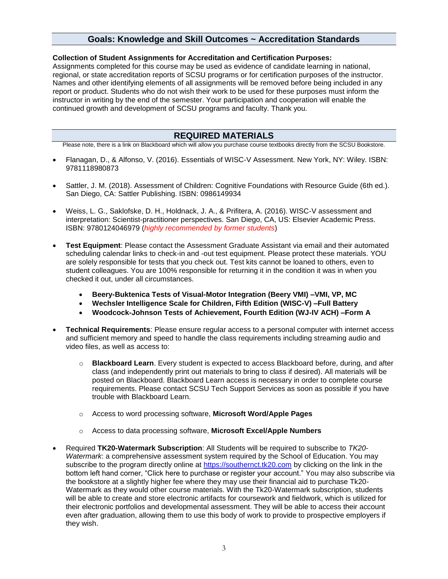### **Goals: Knowledge and Skill Outcomes ~ Accreditation Standards**

#### **Collection of Student Assignments for Accreditation and Certification Purposes:**

Assignments completed for this course may be used as evidence of candidate learning in national, regional, or state accreditation reports of SCSU programs or for certification purposes of the instructor. Names and other identifying elements of all assignments will be removed before being included in any report or product. Students who do not wish their work to be used for these purposes must inform the instructor in writing by the end of the semester. Your participation and cooperation will enable the continued growth and development of SCSU programs and faculty. Thank you.

#### **REQUIRED MATERIALS**

Please note, there is a link on Blackboard which will allow you purchase course textbooks directly from the SCSU Bookstore.

- Flanagan, D., & Alfonso, V. (2016). Essentials of WISC-V Assessment. New York, NY: Wiley. ISBN: 9781118980873
- Sattler, J. M. (2018). Assessment of Children: Cognitive Foundations with Resource Guide (6th ed.). San Diego, CA: Sattler Publishing. ISBN: 0986149934
- Weiss, L. G., Saklofske, D. H., Holdnack, J. A., & Prifitera, A. (2016). WISC-V assessment and interpretation: Scientist-practitioner perspectives. San Diego, CA, US: Elsevier Academic Press. ISBN: 9780124046979 (*highly recommended by former students*)
- **Test Equipment**: Please contact the Assessment Graduate Assistant via email and their automated scheduling calendar links to check-in and -out test equipment. Please protect these materials. YOU are solely responsible for tests that you check out. Test kits cannot be loaned to others, even to student colleagues. You are 100% responsible for returning it in the condition it was in when you checked it out, under all circumstances.
	- **Beery-Buktenica Tests of Visual-Motor Integration (Beery VMI) –VMI, VP, MC**
	- **Wechsler Intelligence Scale for Children, Fifth Edition (WISC-V) –Full Battery**
	- **Woodcock-Johnson Tests of Achievement, Fourth Edition (WJ-IV ACH) –Form A**
- **Technical Requirements**: Please ensure regular access to a personal computer with internet access and sufficient memory and speed to handle the class requirements including streaming audio and video files, as well as access to:
	- o **Blackboard Learn**. Every student is expected to access Blackboard before, during, and after class (and independently print out materials to bring to class if desired). All materials will be posted on Blackboard. Blackboard Learn access is necessary in order to complete course requirements. Please contact SCSU Tech Support Services as soon as possible if you have trouble with Blackboard Learn.
	- o Access to word processing software, **Microsoft Word/Apple Pages**
	- o Access to data processing software, **Microsoft Excel/Apple Numbers**
- Required **TK20-Watermark Subscription**: All Students will be required to subscribe to *TK20- Watermark*: a comprehensive assessment system required by the School of Education. You may subscribe to the program directly online at [https://southernct.tk20.com](https://southernct.tk20.com/) by clicking on the link in the bottom left hand corner, "Click here to purchase or register your account." You may also subscribe via the bookstore at a slightly higher fee where they may use their financial aid to purchase Tk20- Watermark as they would other course materials. With the Tk20-Watermark subscription, students will be able to create and store electronic artifacts for coursework and fieldwork, which is utilized for their electronic portfolios and developmental assessment. They will be able to access their account even after graduation, allowing them to use this body of work to provide to prospective employers if they wish.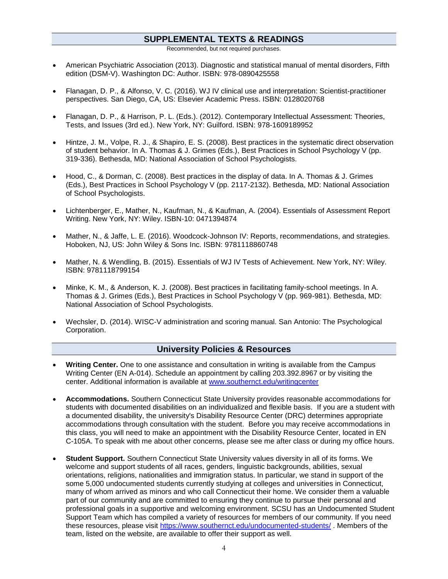## **SUPPLEMENTAL TEXTS & READINGS**

Recommended, but not required purchases.

- American Psychiatric Association (2013). Diagnostic and statistical manual of mental disorders, Fifth edition (DSM-V). Washington DC: Author. ISBN: 978-0890425558
- Flanagan, D. P., & Alfonso, V. C. (2016). WJ IV clinical use and interpretation: Scientist-practitioner perspectives. San Diego, CA, US: Elsevier Academic Press. ISBN: 0128020768
- Flanagan, D. P., & Harrison, P. L. (Eds.). (2012). Contemporary Intellectual Assessment: Theories, Tests, and Issues (3rd ed.). New York, NY: Guilford. ISBN: 978-1609189952
- Hintze, J. M., Volpe, R. J., & Shapiro, E. S. (2008). Best practices in the systematic direct observation of student behavior. In A. Thomas & J. Grimes (Eds.), Best Practices in School Psychology V (pp. 319-336). Bethesda, MD: National Association of School Psychologists.
- Hood, C., & Dorman, C. (2008). Best practices in the display of data. In A. Thomas & J. Grimes (Eds.), Best Practices in School Psychology V (pp. 2117-2132). Bethesda, MD: National Association of School Psychologists.
- Lichtenberger, E., Mather, N., Kaufman, N., & Kaufman, A. (2004). Essentials of Assessment Report Writing. New York, NY: Wiley. ISBN-10: 0471394874
- Mather, N., & Jaffe, L. E. (2016). Woodcock-Johnson IV: Reports, recommendations, and strategies. Hoboken, NJ, US: John Wiley & Sons Inc. ISBN: 9781118860748
- Mather, N. & Wendling, B. (2015). Essentials of WJ IV Tests of Achievement. New York, NY: Wiley. ISBN: 9781118799154
- Minke, K. M., & Anderson, K. J. (2008). Best practices in facilitating family-school meetings. In A. Thomas & J. Grimes (Eds.), Best Practices in School Psychology V (pp. 969-981). Bethesda, MD: National Association of School Psychologists.
- Wechsler, D. (2014). WISC-V administration and scoring manual. San Antonio: The Psychological Corporation.

#### **University Policies & Resources**

- **Writing Center.** One to one assistance and consultation in writing is available from the Campus Writing Center (EN A-014). Schedule an appointment by calling 203.392.8967 or by visiting the center. Additional information is available at [www.southernct.edu/writingcenter](http://www.southernct.edu/writingcenter)
- **Accommodations.** Southern Connecticut State University provides reasonable accommodations for students with documented disabilities on an individualized and flexible basis. If you are a student with a documented disability, the university's Disability Resource Center (DRC) determines appropriate accommodations through consultation with the student. Before you may receive accommodations in this class, you will need to make an appointment with the Disability Resource Center, located in EN C-105A. To speak with me about other concerns, please see me after class or during my office hours.
- **Student Support.** Southern Connecticut State University values diversity in all of its forms. We welcome and support students of all races, genders, linguistic backgrounds, abilities, sexual orientations, religions, nationalities and immigration status. In particular, we stand in support of the some 5,000 undocumented students currently studying at colleges and universities in Connecticut, many of whom arrived as minors and who call Connecticut their home. We consider them a valuable part of our community and are committed to ensuring they continue to pursue their personal and professional goals in a supportive and welcoming environment. SCSU has an Undocumented Student Support Team which has compiled a variety of resources for members of our community. If you need these resources, please visit<https://www.southernct.edu/undocumented-students/> . Members of the team, listed on the website, are available to offer their support as well.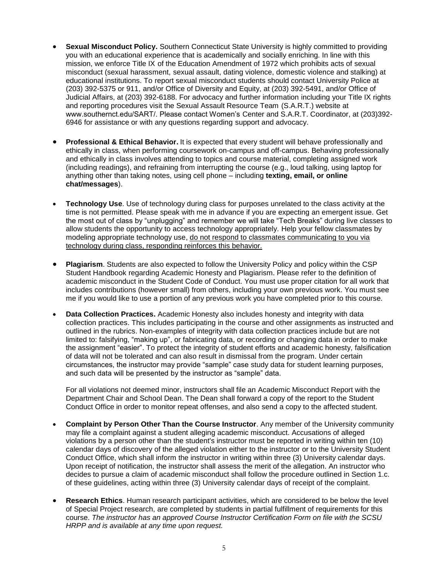- **Sexual Misconduct Policy.** Southern Connecticut State University is highly committed to providing you with an educational experience that is academically and socially enriching. In line with this mission, we enforce Title IX of the Education Amendment of 1972 which prohibits acts of sexual misconduct (sexual harassment, sexual assault, dating violence, domestic violence and stalking) at educational institutions. To report sexual misconduct students should contact University Police at (203) 392-5375 or 911, and/or Office of Diversity and Equity, at (203) 392-5491, and/or Office of Judicial Affairs, at (203) 392-6188. For advocacy and further information including your Title IX rights and reporting procedures visit the Sexual Assault Resource Team (S.A.R.T.) website at www.southernct.edu/SART/. Please contact Women's Center and S.A.R.T. Coordinator, at (203)392- 6946 for assistance or with any questions regarding support and advocacy.
- **Professional & Ethical Behavior.** It is expected that every student will behave professionally and ethically in class, when performing coursework on-campus and off-campus. Behaving professionally and ethically in class involves attending to topics and course material, completing assigned work (including readings), and refraining from interrupting the course (e.g., loud talking, using laptop for anything other than taking notes, using cell phone – including **texting, email, or online chat/messages**).
- **Technology Use**. Use of technology during class for purposes unrelated to the class activity at the time is not permitted. Please speak with me in advance if you are expecting an emergent issue. Get the most out of class by "unplugging" and remember we will take "Tech Breaks" during live classes to allow students the opportunity to access technology appropriately. Help your fellow classmates by modeling appropriate technology use, do not respond to classmates communicating to you via technology during class, responding reinforces this behavior.
- **Plagiarism**. Students are also expected to follow the University Policy and policy within the CSP Student Handbook regarding Academic Honesty and Plagiarism. Please refer to the definition of academic misconduct in the Student Code of Conduct. You must use proper citation for all work that includes contributions (however small) from others, including your own previous work. You must see me if you would like to use a portion of any previous work you have completed prior to this course.
- **Data Collection Practices.** Academic Honesty also includes honesty and integrity with data collection practices. This includes participating in the course and other assignments as instructed and outlined in the rubrics. Non-examples of integrity with data collection practices include but are not limited to: falsifying, "making up", or fabricating data, or recording or changing data in order to make the assignment "easier". To protect the integrity of student efforts and academic honesty, falsification of data will not be tolerated and can also result in dismissal from the program. Under certain circumstances, the instructor may provide "sample" case study data for student learning purposes, and such data will be presented by the instructor as "sample" data.

For all violations not deemed minor, instructors shall file an Academic Misconduct Report with the Department Chair and School Dean. The Dean shall forward a copy of the report to the Student Conduct Office in order to monitor repeat offenses, and also send a copy to the affected student.

- **Complaint by Person Other Than the Course Instructor**. Any member of the University community may file a complaint against a student alleging academic misconduct. Accusations of alleged violations by a person other than the student's instructor must be reported in writing within ten (10) calendar days of discovery of the alleged violation either to the instructor or to the University Student Conduct Office, which shall inform the instructor in writing within three (3) University calendar days. Upon receipt of notification, the instructor shall assess the merit of the allegation. An instructor who decides to pursue a claim of academic misconduct shall follow the procedure outlined in Section 1.c. of these guidelines, acting within three (3) University calendar days of receipt of the complaint.
- **Research Ethics**. Human research participant activities, which are considered to be below the level of Special Project research, are completed by students in partial fulfillment of requirements for this course. *The instructor has an approved Course Instructor Certification Form on file with the SCSU HRPP and is available at any time upon request.*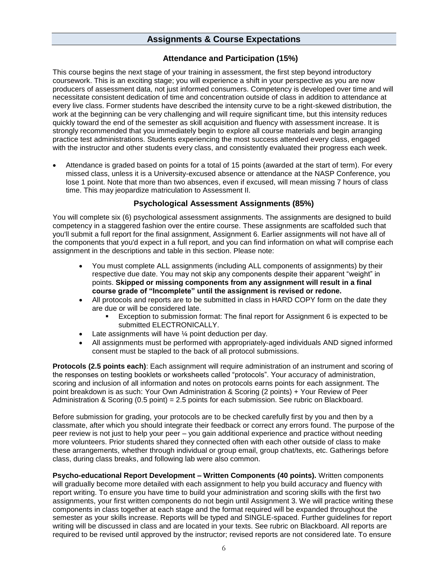### **Assignments & Course Expectations**

#### **Attendance and Participation (15%)**

This course begins the next stage of your training in assessment, the first step beyond introductory coursework. This is an exciting stage; you will experience a shift in your perspective as you are now producers of assessment data, not just informed consumers. Competency is developed over time and will necessitate consistent dedication of time and concentration outside of class in addition to attendance at every live class. Former students have described the intensity curve to be a right-skewed distribution, the work at the beginning can be very challenging and will require significant time, but this intensity reduces quickly toward the end of the semester as skill acquisition and fluency with assessment increase. It is strongly recommended that you immediately begin to explore all course materials and begin arranging practice test administrations. Students experiencing the most success attended every class, engaged with the instructor and other students every class, and consistently evaluated their progress each week.

• Attendance is graded based on points for a total of 15 points (awarded at the start of term). For every missed class, unless it is a University-excused absence or attendance at the NASP Conference, you lose 1 point. Note that more than two absences, even if excused, will mean missing 7 hours of class time. This may jeopardize matriculation to Assessment II.

#### **Psychological Assessment Assignments (85%)**

You will complete six (6) psychological assessment assignments. The assignments are designed to build competency in a staggered fashion over the entire course. These assignments are scaffolded such that you'll submit a full report for the final assignment, Assignment 6. Earlier assignments will not have all of the components that you'd expect in a full report, and you can find information on what will comprise each assignment in the descriptions and table in this section. Please note:

- You must complete ALL assignments (including ALL components of assignments) by their respective due date. You may not skip any components despite their apparent "weight" in points. **Skipped or missing components from any assignment will result in a final course grade of "Incomplete" until the assignment is revised or redone.**
- All protocols and reports are to be submitted in class in HARD COPY form on the date they are due or will be considered late.
	- Exception to submission format: The final report for Assignment 6 is expected to be submitted ELECTRONICALLY.
- Late assignments will have  $\frac{1}{4}$  point deduction per day.
- All assignments must be performed with appropriately-aged individuals AND signed informed consent must be stapled to the back of all protocol submissions.

**Protocols (2.5 points each)**: Each assignment will require administration of an instrument and scoring of the responses on testing booklets or worksheets called "protocols". Your accuracy of administration, scoring and inclusion of all information and notes on protocols earns points for each assignment. The point breakdown is as such: Your Own Administration & Scoring (2 points) + Your Review of Peer Administration & Scoring (0.5 point) = 2.5 points for each submission. See rubric on Blackboard.

Before submission for grading, your protocols are to be checked carefully first by you and then by a classmate, after which you should integrate their feedback or correct any errors found. The purpose of the peer review is not just to help your peer – you gain additional experience and practice without needing more volunteers. Prior students shared they connected often with each other outside of class to make these arrangements, whether through individual or group email, group chat/texts, etc. Gatherings before class, during class breaks, and following lab were also common.

**Psycho-educational Report Development – Written Components (40 points).** Written components will gradually become more detailed with each assignment to help you build accuracy and fluency with report writing. To ensure you have time to build your administration and scoring skills with the first two assignments, your first written components do not begin until Assignment 3. We will practice writing these components in class together at each stage and the format required will be expanded throughout the semester as your skills increase. Reports will be typed and SINGLE-spaced. Further guidelines for report writing will be discussed in class and are located in your texts. See rubric on Blackboard. All reports are required to be revised until approved by the instructor; revised reports are not considered late. To ensure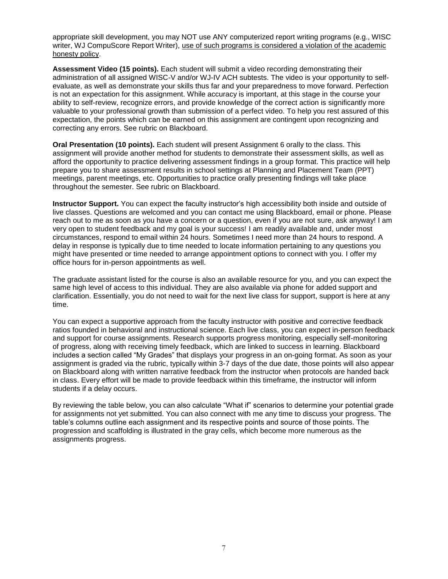appropriate skill development, you may NOT use ANY computerized report writing programs (e.g., WISC writer, WJ CompuScore Report Writer), use of such programs is considered a violation of the academic honesty policy.

**Assessment Video (15 points).** Each student will submit a video recording demonstrating their administration of all assigned WISC-V and/or WJ-IV ACH subtests. The video is your opportunity to selfevaluate, as well as demonstrate your skills thus far and your preparedness to move forward. Perfection is not an expectation for this assignment. While accuracy is important, at this stage in the course your ability to self-review, recognize errors, and provide knowledge of the correct action is significantly more valuable to your professional growth than submission of a perfect video. To help you rest assured of this expectation, the points which can be earned on this assignment are contingent upon recognizing and correcting any errors. See rubric on Blackboard.

**Oral Presentation (10 points).** Each student will present Assignment 6 orally to the class. This assignment will provide another method for students to demonstrate their assessment skills, as well as afford the opportunity to practice delivering assessment findings in a group format. This practice will help prepare you to share assessment results in school settings at Planning and Placement Team (PPT) meetings, parent meetings, etc. Opportunities to practice orally presenting findings will take place throughout the semester. See rubric on Blackboard.

**Instructor Support.** You can expect the faculty instructor's high accessibility both inside and outside of live classes. Questions are welcomed and you can contact me using Blackboard, email or phone. Please reach out to me as soon as you have a concern or a question, even if you are not sure, ask anyway! I am very open to student feedback and my goal is your success! I am readily available and, under most circumstances, respond to email within 24 hours. Sometimes I need more than 24 hours to respond. A delay in response is typically due to time needed to locate information pertaining to any questions you might have presented or time needed to arrange appointment options to connect with you. I offer my office hours for in-person appointments as well.

The graduate assistant listed for the course is also an available resource for you, and you can expect the same high level of access to this individual. They are also available via phone for added support and clarification. Essentially, you do not need to wait for the next live class for support, support is here at any time.

You can expect a supportive approach from the faculty instructor with positive and corrective feedback ratios founded in behavioral and instructional science. Each live class, you can expect in-person feedback and support for course assignments. Research supports progress monitoring, especially self-monitoring of progress, along with receiving timely feedback, which are linked to success in learning. Blackboard includes a section called "My Grades" that displays your progress in an on-going format. As soon as your assignment is graded via the rubric, typically within 3-7 days of the due date, those points will also appear on Blackboard along with written narrative feedback from the instructor when protocols are handed back in class. Every effort will be made to provide feedback within this timeframe, the instructor will inform students if a delay occurs.

By reviewing the table below, you can also calculate "What if" scenarios to determine your potential grade for assignments not yet submitted. You can also connect with me any time to discuss your progress. The table's columns outline each assignment and its respective points and source of those points. The progression and scaffolding is illustrated in the gray cells, which become more numerous as the assignments progress.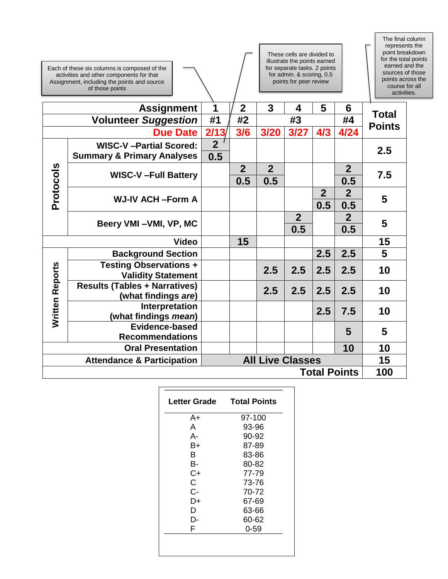|                                                                  | These cells are divided to<br>illustrate the points earned<br>for separate tasks. 2 points<br>Each of these six columns is composed of the<br>for admin. & scoring, 0.5<br>activities and other components for that<br>points for peer review<br>Assignment, including the points and source<br>of those points |                       |                |                |                       |                       |                       | The final column<br>represents the<br>point breakdown<br>for the total points<br>earned and the<br>sources of those<br>points across the<br>course for all<br>activities. |  |
|------------------------------------------------------------------|-----------------------------------------------------------------------------------------------------------------------------------------------------------------------------------------------------------------------------------------------------------------------------------------------------------------|-----------------------|----------------|----------------|-----------------------|-----------------------|-----------------------|---------------------------------------------------------------------------------------------------------------------------------------------------------------------------|--|
|                                                                  | <b>Assignment</b>                                                                                                                                                                                                                                                                                               | 1                     | $\mathbf 2$    | 3              | 4                     | 5                     | 6                     | <b>Total</b>                                                                                                                                                              |  |
|                                                                  | <b>Volunteer Suggestion</b>                                                                                                                                                                                                                                                                                     | #1                    | #2             |                | #3                    |                       | #4                    | <b>Points</b>                                                                                                                                                             |  |
|                                                                  | <b>Due Date</b>                                                                                                                                                                                                                                                                                                 | 2/13/                 | 3/6            | 3/20           | 3/27                  | 4/3                   | 4/24                  |                                                                                                                                                                           |  |
|                                                                  | <b>WISC-V-Partial Scored:</b><br><b>Summary &amp; Primary Analyses</b>                                                                                                                                                                                                                                          | $\overline{2}$<br>0.5 |                |                |                       |                       |                       | 2.5                                                                                                                                                                       |  |
|                                                                  |                                                                                                                                                                                                                                                                                                                 |                       | $\overline{2}$ | $\overline{2}$ |                       |                       | $\overline{2}$        |                                                                                                                                                                           |  |
|                                                                  | <b>WISC-V-Full Battery</b>                                                                                                                                                                                                                                                                                      |                       | 0.5            | 0.5            |                       |                       | 0.5                   | 7.5                                                                                                                                                                       |  |
| Protocols                                                        | <b>WJ-IV ACH -Form A</b>                                                                                                                                                                                                                                                                                        |                       |                |                |                       | 2 <sup>2</sup><br>0.5 | $\overline{2}$<br>0.5 | 5                                                                                                                                                                         |  |
|                                                                  | Beery VMI-VMI, VP, MC                                                                                                                                                                                                                                                                                           |                       |                |                | $\overline{2}$<br>0.5 |                       | $\overline{2}$<br>0.5 | 5                                                                                                                                                                         |  |
|                                                                  | <b>Video</b>                                                                                                                                                                                                                                                                                                    |                       | 15             |                |                       |                       |                       | 15                                                                                                                                                                        |  |
|                                                                  | <b>Background Section</b>                                                                                                                                                                                                                                                                                       |                       |                |                |                       | 2.5                   | 2.5                   | 5                                                                                                                                                                         |  |
|                                                                  | <b>Testing Observations +</b><br><b>Validity Statement</b>                                                                                                                                                                                                                                                      |                       |                | 2.5            | 2.5                   | 2.5                   | 2.5                   | 10                                                                                                                                                                        |  |
|                                                                  | <b>Results (Tables + Narratives)</b><br>(what findings are)                                                                                                                                                                                                                                                     |                       |                | 2.5            | 2.5                   | 2.5                   | 2.5                   | 10                                                                                                                                                                        |  |
| Written Reports                                                  | Interpretation<br>(what findings mean)                                                                                                                                                                                                                                                                          |                       |                |                |                       | 2.5                   | 7.5                   | 10                                                                                                                                                                        |  |
|                                                                  | Evidence-based<br><b>Recommendations</b>                                                                                                                                                                                                                                                                        |                       |                |                |                       |                       | 5                     | 5                                                                                                                                                                         |  |
|                                                                  | <b>Oral Presentation</b>                                                                                                                                                                                                                                                                                        |                       |                |                |                       |                       | 10                    | 10                                                                                                                                                                        |  |
| <b>All Live Classes</b><br><b>Attendance &amp; Participation</b> |                                                                                                                                                                                                                                                                                                                 |                       |                |                |                       | 15                    |                       |                                                                                                                                                                           |  |
|                                                                  |                                                                                                                                                                                                                                                                                                                 |                       |                |                |                       |                       | <b>Total Points</b>   | 100                                                                                                                                                                       |  |

| Letter Grade | <b>Total Points</b> |
|--------------|---------------------|
| A+           | 97-100              |
| A            | 93-96               |
| А-           | 90-92               |
| B+           | 87-89               |
| B            | 83-86               |
| B-           | 80-82               |
| C+           | 77-79               |
| C.           | 73-76               |
| $C -$        | 70-72               |
| D+           | 67-69               |
| D            | 63-66               |
| D-           | 60-62               |
| F            | $0 - 59$            |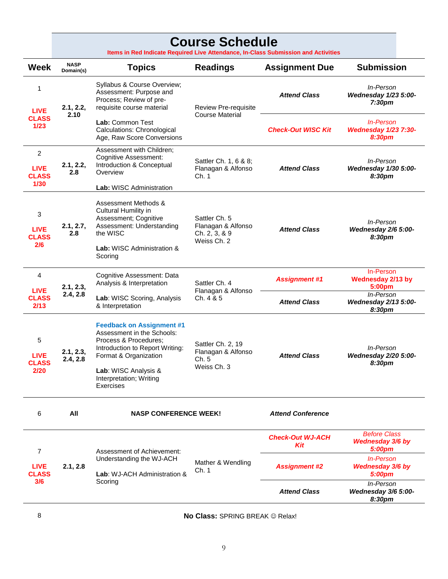# **Course Schedule**

**Items in Red Indicate Required Live Attendance, In-Class Submission and Activities**

| <b>Week</b>                                             | <b>NASP</b><br>Domain(s) | <b>Topics</b>                                                                                                                                                                                                       | <b>Readings</b>                                                     | <b>Assignment Due</b>          | <b>Submission</b>                                       |                                                |
|---------------------------------------------------------|--------------------------|---------------------------------------------------------------------------------------------------------------------------------------------------------------------------------------------------------------------|---------------------------------------------------------------------|--------------------------------|---------------------------------------------------------|------------------------------------------------|
| 1<br><b>LIVE</b>                                        | 2.1, 2.2,                | Syllabus & Course Overview;<br>Assessment: Purpose and<br>Process; Review of pre-<br>requisite course material                                                                                                      | <b>Review Pre-requisite</b>                                         | <b>Attend Class</b>            | In-Person<br>Wednesday 1/23 5:00-<br>7:30 <sub>pm</sub> |                                                |
| <b>CLASS</b><br>$1/23$                                  | 2.10                     | Lab: Common Test<br>Calculations: Chronological<br>Age, Raw Score Conversions                                                                                                                                       | <b>Course Material</b>                                              | <b>Check-Out WISC Kit</b>      | <b>In-Person</b><br>Wednesday 1/23 7:30-<br>8:30pm      |                                                |
| $\overline{c}$<br><b>LIVE</b><br><b>CLASS</b><br>$1/30$ | 2.1, 2.2,<br>2.8         | Assessment with Children;<br><b>Cognitive Assessment:</b><br>Introduction & Conceptual<br>Overview<br><b>Lab:</b> WISC Administration                                                                               | Sattler Ch. 1, 6 & 8;<br>Flanagan & Alfonso<br>Ch. 1                | <b>Attend Class</b>            | In-Person<br>Wednesday 1/30 5:00-<br>8:30pm             |                                                |
| 3<br><b>LIVE</b><br><b>CLASS</b><br>2/6                 | 2.1, 2.7,<br>2.8         | Assessment Methods &<br>Cultural Humility in<br>Assessment; Cognitive<br>Assessment: Understanding<br>the WISC<br>Lab: WISC Administration &<br>Scoring                                                             | Sattler Ch. 5<br>Flanagan & Alfonso<br>Ch. 2, 3, & 9<br>Weiss Ch. 2 | <b>Attend Class</b>            | In-Person<br>Wednesday 2/6 5:00-<br>8:30pm              |                                                |
| 4<br><b>LIVE</b>                                        | 2.1, 2.3,                | Cognitive Assessment: Data<br>Analysis & Interpretation                                                                                                                                                             | Sattler Ch. 4<br>Flanagan & Alfonso                                 | <b>Assignment #1</b>           | In-Person<br><b>Wednesday 2/13 by</b><br>5:00pm         |                                                |
| <b>CLASS</b><br>2/13                                    | 2.4, 2.8                 | Lab: WISC Scoring, Analysis<br>& Interpretation                                                                                                                                                                     | Ch. 4 & 5                                                           | <b>Attend Class</b>            | In-Person<br><b>Wednesday 2/13 5:00-</b><br>8:30pm      |                                                |
| 5<br><b>LIVE</b><br><b>CLASS</b><br>2/20                | 2.1, 2.3,<br>2.4, 2.8    | <b>Feedback on Assignment #1</b><br>Assessment in the Schools:<br>Process & Procedures:<br>Introduction to Report Writing:<br>Format & Organization<br>Lab: WISC Analysis &<br>Interpretation; Writing<br>Exercises | Sattler Ch. 2, 19<br>Flanagan & Alfonso<br>Ch. 5<br>Weiss Ch. 3     | <b>Attend Class</b>            | In-Person<br>Wednesday 2/20 5:00-<br>8:30pm             |                                                |
| 6                                                       | All                      | <b>NASP CONFERENCE WEEK!</b>                                                                                                                                                                                        |                                                                     | <b>Attend Conference</b>       |                                                         |                                                |
| 7                                                       |                          | Assessment of Achievement:                                                                                                                                                                                          |                                                                     | <b>Check-Out WJ-ACH</b><br>Kit | <b>Before Class</b><br>Wednesday 3/6 by<br>5:00pm       |                                                |
| <b>LIVE</b><br><b>CLASS</b>                             | 2.1, 2.8                 | Understanding the WJ-ACH<br>Lab: WJ-ACH Administration &                                                                                                                                                            | Mather & Wendling<br>Ch. 1                                          |                                | <b>Assignment #2</b>                                    | <b>In-Person</b><br>Wednesday 3/6 by<br>5:00pm |
| 3/6                                                     |                          | Scorina                                                                                                                                                                                                             |                                                                     | <b>Attend Class</b>            | In-Person<br>Wednesday 3/6 5:00-<br>8:30pm              |                                                |

8 **No Class:** SPRING BREAK ☺ Relax!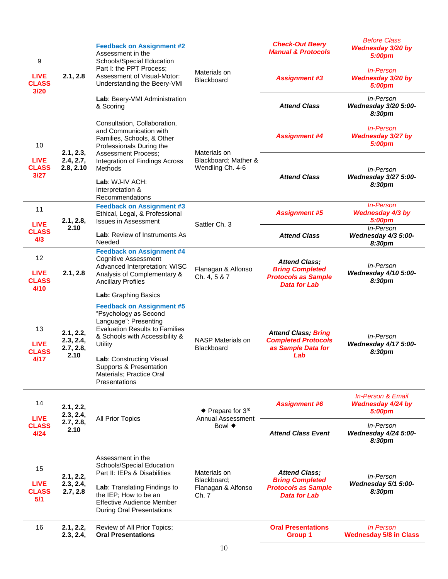|                                           | <b>Feedback on Assignment #2</b><br>Assessment in the<br>9<br>Schools/Special Education |                                                                                                                                                                          | <b>Check-Out Beery</b><br><b>Manual &amp; Protocols</b> | <b>Before Class</b><br>Wednesday 3/20 by<br>5:00pm                                                  |                                                             |
|-------------------------------------------|-----------------------------------------------------------------------------------------|--------------------------------------------------------------------------------------------------------------------------------------------------------------------------|---------------------------------------------------------|-----------------------------------------------------------------------------------------------------|-------------------------------------------------------------|
| <b>LIVE</b><br><b>CLASS</b><br>3/20       | 2.1, 2.8                                                                                | Part I: the PPT Process:<br>Assessment of Visual-Motor:<br>Understanding the Beery-VMI                                                                                   | Materials on<br><b>Blackboard</b>                       | <b>Assignment #3</b>                                                                                | In-Person<br>Wednesday 3/20 by<br>5:00pm                    |
|                                           |                                                                                         | Lab: Beery-VMI Administration<br>& Scoring                                                                                                                               |                                                         | <b>Attend Class</b>                                                                                 | In-Person<br>Wednesday 3/20 5:00-<br>8:30pm                 |
| 10                                        | 2.1, 2.3,                                                                               | Consultation, Collaboration,<br>and Communication with<br>Families, Schools, & Other<br>Professionals During the                                                         | Materials on                                            | <b>Assignment #4</b>                                                                                | <b>In-Person</b><br>Wednesday 3/27 by<br>5:00pm             |
| <b>LIVE</b><br><b>CLASS</b><br>3/27       | 2.4, 2.7,<br>2.8, 2.10                                                                  | <b>Assessment Process;</b><br>Integration of Findings Across<br>Methods                                                                                                  | Blackboard; Mather &<br>Wendling Ch. 4-6                | <b>Attend Class</b>                                                                                 | In-Person<br><b>Wednesday 3/27 5:00-</b>                    |
|                                           |                                                                                         | Lab: WJ-IV ACH:<br>Interpretation &<br>Recommendations                                                                                                                   |                                                         |                                                                                                     | 8:30pm                                                      |
| 11<br><b>LIVE</b>                         | 2.1, 2.8,                                                                               | <b>Feedback on Assignment #3</b><br>Ethical, Legal, & Professional<br><b>Issues in Assessment</b>                                                                        | Sattler Ch. 3                                           | <b>Assignment #5</b>                                                                                | <b>In-Person</b><br>Wednesday 4/3 by<br>5:00pm              |
| <b>CLASS</b><br>4/3                       | 2.10                                                                                    | Lab: Review of Instruments As<br>Needed                                                                                                                                  |                                                         | <b>Attend Class</b>                                                                                 | In-Person<br>Wednesday 4/3 5:00-<br>8:30pm                  |
| 12<br><b>LIVE</b><br><b>CLASS</b><br>4/10 | 2.1, 2.8                                                                                | <b>Feedback on Assignment #4</b><br><b>Cognitive Assessment</b><br>Advanced Interpretation: WISC<br>Analysis of Complementary &<br><b>Ancillary Profiles</b>             | Flanagan & Alfonso<br>Ch. 4, 5 & 7                      | <b>Attend Class;</b><br><b>Bring Completed</b><br><b>Protocols as Sample</b><br><b>Data for Lab</b> | In-Person<br>Wednesday 4/10 5:00-<br>8:30pm                 |
|                                           |                                                                                         | Lab: Graphing Basics                                                                                                                                                     |                                                         |                                                                                                     |                                                             |
| 13<br><b>LIVE</b><br><b>CLASS</b>         | 2.1, 2.2,<br>2.3, 2.4,<br>2.7, 2.8,                                                     | <b>Feedback on Assignment #5</b><br>"Psychology as Second<br>Language": Presenting<br><b>Evaluation Results to Families</b><br>& Schools with Accessibility &<br>Utility | NASP Materials on<br><b>Blackboard</b>                  | <b>Attend Class; Bring</b><br><b>Completed Protocols</b><br>as Sample Data for                      | In-Person<br><b>Wednesday 4/17 5:00-</b><br>8:30pm          |
| 4/17                                      | 2.10                                                                                    | Lab: Constructing Visual<br>Supports & Presentation<br>Materials; Practice Oral<br>Presentations                                                                         |                                                         | Lab                                                                                                 |                                                             |
| 14<br><b>LIVE</b>                         | 2.1, 2.2,<br>2.3, 2.4,                                                                  |                                                                                                                                                                          | * Prepare for 3rd<br><b>Annual Assessment</b>           | <b>Assignment #6</b>                                                                                | <b>In-Person &amp; Email</b><br>Wednesday 4/24 by<br>5:00pm |
| <b>CLASS</b><br>4/24                      | 2.7, 2.8,<br>2.10                                                                       | All Prior Topics                                                                                                                                                         | Bowl *                                                  | <b>Attend Class Event</b>                                                                           | In-Person<br><b>Wednesday 4/24 5:00-</b><br>8:30pm          |
| 15                                        | 2.1, 2.2,                                                                               | Assessment in the<br>Schools/Special Education<br>Part II: IEPs & Disabilities                                                                                           | Materials on                                            | <b>Attend Class;</b>                                                                                | <i>In-Person</i>                                            |
| <b>LIVE</b><br><b>CLASS</b><br>5/1        | 2.3, 2.4,<br>2.7, 2.8                                                                   | Lab: Translating Findings to<br>the IEP; How to be an<br><b>Effective Audience Member</b><br>During Oral Presentations                                                   | Blackboard;<br>Flanagan & Alfonso<br>Ch. 7              | <b>Bring Completed</b><br><b>Protocols as Sample</b><br><b>Data for Lab</b>                         | Wednesday 5/1 5:00-<br>8:30pm                               |
| 16                                        | 2.1, 2.2,<br>2.3, 2.4,                                                                  | Review of All Prior Topics;<br><b>Oral Presentations</b>                                                                                                                 |                                                         | <b>Oral Presentations</b><br>Group 1                                                                | In Person<br><b>Wednesday 5/8 in Class</b>                  |